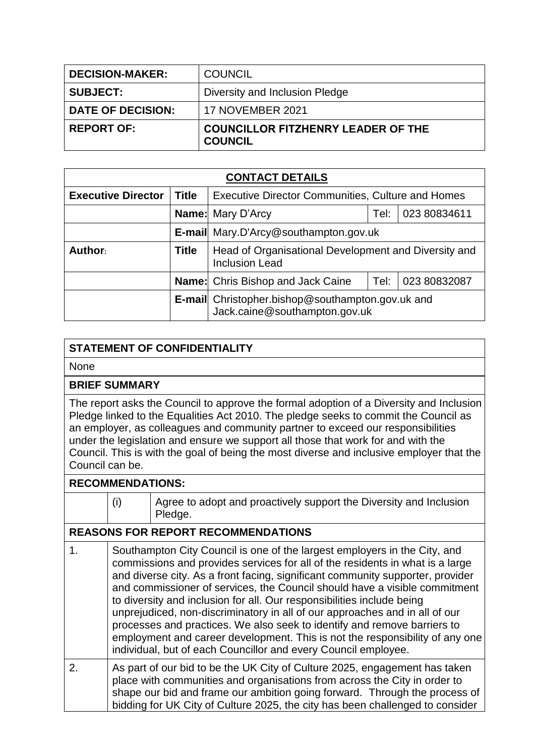| <b>DECISION-MAKER:</b>   | <b>COUNCIL</b>                                              |
|--------------------------|-------------------------------------------------------------|
| <b>SUBJECT:</b>          | Diversity and Inclusion Pledge                              |
| <b>DATE OF DECISION:</b> | <b>17 NOVEMBER 2021</b>                                     |
| <b>REPORT OF:</b>        | <b>COUNCILLOR FITZHENRY LEADER OF THE</b><br><b>COUNCIL</b> |

| <b>CONTACT DETAILS</b>    |                                          |                                                                                   |      |              |  |
|---------------------------|------------------------------------------|-----------------------------------------------------------------------------------|------|--------------|--|
| <b>Executive Director</b> | <b>Title</b>                             | <b>Executive Director Communities, Culture and Homes</b>                          |      |              |  |
|                           |                                          | <b>Name:</b> Mary D'Arcy<br>023 80834611<br>Tel:                                  |      |              |  |
|                           |                                          | <b>E-mail</b> Mary.D'Arcy@southampton.gov.uk                                      |      |              |  |
| Author:                   | <b>Title</b>                             | Head of Organisational Development and Diversity and<br><b>Inclusion Lead</b>     |      |              |  |
|                           | <b>Name:</b> Chris Bishop and Jack Caine |                                                                                   | Tel: | 023 80832087 |  |
|                           |                                          | E-mail Christopher.bishop@southampton.gov.uk and<br>Jack.caine@southampton.gov.uk |      |              |  |

## **STATEMENT OF CONFIDENTIALITY**

None

## **BRIEF SUMMARY**

The report asks the Council to approve the formal adoption of a Diversity and Inclusion Pledge linked to the Equalities Act 2010. The pledge seeks to commit the Council as an employer, as colleagues and community partner to exceed our responsibilities under the legislation and ensure we support all those that work for and with the Council. This is with the goal of being the most diverse and inclusive employer that the Council can be.

## **RECOMMENDATIONS:**

|                  | (i)                                       | Agree to adopt and proactively support the Diversity and Inclusion<br>Pledge.                                                                                                                                                                                                                                                                                                                                                                                                                                                                                                                                                                                                                                     |  |  |
|------------------|-------------------------------------------|-------------------------------------------------------------------------------------------------------------------------------------------------------------------------------------------------------------------------------------------------------------------------------------------------------------------------------------------------------------------------------------------------------------------------------------------------------------------------------------------------------------------------------------------------------------------------------------------------------------------------------------------------------------------------------------------------------------------|--|--|
|                  | <b>REASONS FOR REPORT RECOMMENDATIONS</b> |                                                                                                                                                                                                                                                                                                                                                                                                                                                                                                                                                                                                                                                                                                                   |  |  |
| 1.               |                                           | Southampton City Council is one of the largest employers in the City, and<br>commissions and provides services for all of the residents in what is a large<br>and diverse city. As a front facing, significant community supporter, provider<br>and commissioner of services, the Council should have a visible commitment<br>to diversity and inclusion for all. Our responsibilities include being<br>unprejudiced, non-discriminatory in all of our approaches and in all of our<br>processes and practices. We also seek to identify and remove barriers to<br>employment and career development. This is not the responsibility of any one<br>individual, but of each Councillor and every Council employee. |  |  |
| $\overline{2}$ . |                                           | As part of our bid to be the UK City of Culture 2025, engagement has taken<br>place with communities and organisations from across the City in order to<br>shape our bid and frame our ambition going forward. Through the process of<br>bidding for UK City of Culture 2025, the city has been challenged to consider                                                                                                                                                                                                                                                                                                                                                                                            |  |  |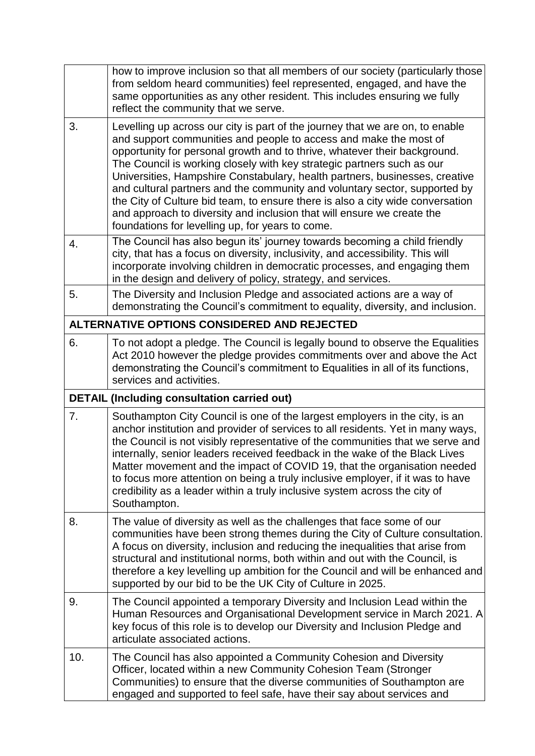|    | how to improve inclusion so that all members of our society (particularly those<br>from seldom heard communities) feel represented, engaged, and have the<br>same opportunities as any other resident. This includes ensuring we fully<br>reflect the community that we serve.                                                                                                                                                                                                                                                                                                                                                                                                         |
|----|----------------------------------------------------------------------------------------------------------------------------------------------------------------------------------------------------------------------------------------------------------------------------------------------------------------------------------------------------------------------------------------------------------------------------------------------------------------------------------------------------------------------------------------------------------------------------------------------------------------------------------------------------------------------------------------|
| 3. | Levelling up across our city is part of the journey that we are on, to enable<br>and support communities and people to access and make the most of<br>opportunity for personal growth and to thrive, whatever their background.<br>The Council is working closely with key strategic partners such as our<br>Universities, Hampshire Constabulary, health partners, businesses, creative<br>and cultural partners and the community and voluntary sector, supported by<br>the City of Culture bid team, to ensure there is also a city wide conversation<br>and approach to diversity and inclusion that will ensure we create the<br>foundations for levelling up, for years to come. |
| 4. | The Council has also begun its' journey towards becoming a child friendly<br>city, that has a focus on diversity, inclusivity, and accessibility. This will<br>incorporate involving children in democratic processes, and engaging them<br>in the design and delivery of policy, strategy, and services.                                                                                                                                                                                                                                                                                                                                                                              |
| 5. | The Diversity and Inclusion Pledge and associated actions are a way of<br>demonstrating the Council's commitment to equality, diversity, and inclusion.                                                                                                                                                                                                                                                                                                                                                                                                                                                                                                                                |
|    | ALTERNATIVE OPTIONS CONSIDERED AND REJECTED                                                                                                                                                                                                                                                                                                                                                                                                                                                                                                                                                                                                                                            |
| 6. | To not adopt a pledge. The Council is legally bound to observe the Equalities<br>Act 2010 however the pledge provides commitments over and above the Act<br>demonstrating the Council's commitment to Equalities in all of its functions,<br>services and activities.                                                                                                                                                                                                                                                                                                                                                                                                                  |
|    |                                                                                                                                                                                                                                                                                                                                                                                                                                                                                                                                                                                                                                                                                        |
|    | <b>DETAIL (Including consultation carried out)</b>                                                                                                                                                                                                                                                                                                                                                                                                                                                                                                                                                                                                                                     |
| 7. | Southampton City Council is one of the largest employers in the city, is an<br>anchor institution and provider of services to all residents. Yet in many ways,<br>the Council is not visibly representative of the communities that we serve and<br>internally, senior leaders received feedback in the wake of the Black Lives<br>Matter movement and the impact of COVID 19, that the organisation needed<br>to focus more attention on being a truly inclusive employer, if it was to have<br>credibility as a leader within a truly inclusive system across the city of<br>Southampton.                                                                                            |
| 8. | The value of diversity as well as the challenges that face some of our<br>communities have been strong themes during the City of Culture consultation.<br>A focus on diversity, inclusion and reducing the inequalities that arise from<br>structural and institutional norms, both within and out with the Council, is<br>therefore a key levelling up ambition for the Council and will be enhanced and<br>supported by our bid to be the UK City of Culture in 2025.                                                                                                                                                                                                                |
| 9. | The Council appointed a temporary Diversity and Inclusion Lead within the<br>Human Resources and Organisational Development service in March 2021. A<br>key focus of this role is to develop our Diversity and Inclusion Pledge and<br>articulate associated actions.                                                                                                                                                                                                                                                                                                                                                                                                                  |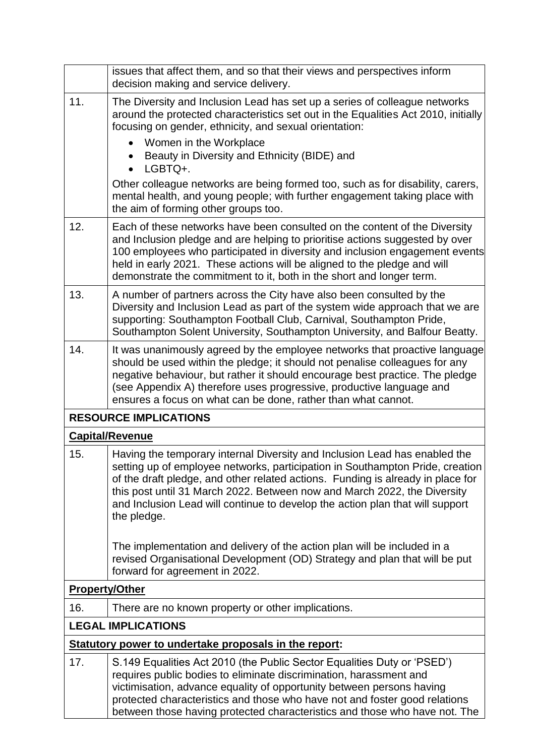|                                                       | issues that affect them, and so that their views and perspectives inform<br>decision making and service delivery.                                                                                                                                                                                                                                                                                                          |  |  |  |
|-------------------------------------------------------|----------------------------------------------------------------------------------------------------------------------------------------------------------------------------------------------------------------------------------------------------------------------------------------------------------------------------------------------------------------------------------------------------------------------------|--|--|--|
| 11.                                                   | The Diversity and Inclusion Lead has set up a series of colleague networks<br>around the protected characteristics set out in the Equalities Act 2010, initially<br>focusing on gender, ethnicity, and sexual orientation:                                                                                                                                                                                                 |  |  |  |
|                                                       | Women in the Workplace<br>$\bullet$                                                                                                                                                                                                                                                                                                                                                                                        |  |  |  |
|                                                       | Beauty in Diversity and Ethnicity (BIDE) and<br>LGBTQ+.                                                                                                                                                                                                                                                                                                                                                                    |  |  |  |
|                                                       | Other colleague networks are being formed too, such as for disability, carers,<br>mental health, and young people; with further engagement taking place with<br>the aim of forming other groups too.                                                                                                                                                                                                                       |  |  |  |
| 12.                                                   | Each of these networks have been consulted on the content of the Diversity<br>and Inclusion pledge and are helping to prioritise actions suggested by over<br>100 employees who participated in diversity and inclusion engagement events<br>held in early 2021. These actions will be aligned to the pledge and will<br>demonstrate the commitment to it, both in the short and longer term.                              |  |  |  |
| 13.                                                   | A number of partners across the City have also been consulted by the<br>Diversity and Inclusion Lead as part of the system wide approach that we are<br>supporting: Southampton Football Club, Carnival, Southampton Pride,<br>Southampton Solent University, Southampton University, and Balfour Beatty.                                                                                                                  |  |  |  |
| 14.                                                   | It was unanimously agreed by the employee networks that proactive language<br>should be used within the pledge; it should not penalise colleagues for any<br>negative behaviour, but rather it should encourage best practice. The pledge<br>(see Appendix A) therefore uses progressive, productive language and<br>ensures a focus on what can be done, rather than what cannot.                                         |  |  |  |
|                                                       | <b>RESOURCE IMPLICATIONS</b>                                                                                                                                                                                                                                                                                                                                                                                               |  |  |  |
|                                                       | <b>Capital/Revenue</b>                                                                                                                                                                                                                                                                                                                                                                                                     |  |  |  |
| 15.                                                   | Having the temporary internal Diversity and Inclusion Lead has enabled the<br>setting up of employee networks, participation in Southampton Pride, creation<br>of the draft pledge, and other related actions. Funding is already in place for<br>this post until 31 March 2022. Between now and March 2022, the Diversity<br>and Inclusion Lead will continue to develop the action plan that will support<br>the pledge. |  |  |  |
|                                                       | The implementation and delivery of the action plan will be included in a<br>revised Organisational Development (OD) Strategy and plan that will be put<br>forward for agreement in 2022.                                                                                                                                                                                                                                   |  |  |  |
|                                                       | <b>Property/Other</b>                                                                                                                                                                                                                                                                                                                                                                                                      |  |  |  |
| 16.                                                   | There are no known property or other implications.                                                                                                                                                                                                                                                                                                                                                                         |  |  |  |
| <b>LEGAL IMPLICATIONS</b>                             |                                                                                                                                                                                                                                                                                                                                                                                                                            |  |  |  |
| Statutory power to undertake proposals in the report: |                                                                                                                                                                                                                                                                                                                                                                                                                            |  |  |  |
| 17.                                                   | S.149 Equalities Act 2010 (the Public Sector Equalities Duty or 'PSED')<br>requires public bodies to eliminate discrimination, harassment and<br>victimisation, advance equality of opportunity between persons having<br>protected characteristics and those who have not and foster good relations<br>between those having protected characteristics and those who have not. The                                         |  |  |  |